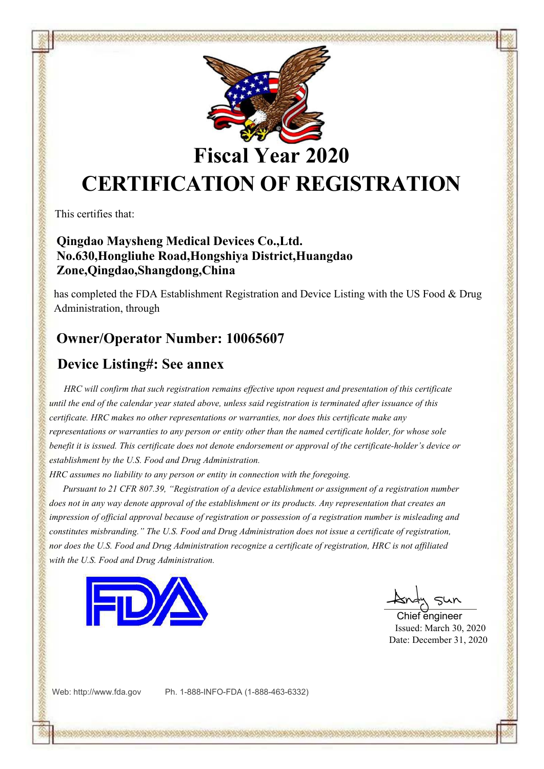

**Fiscal Year 2020**

# **CERTIFICATION OF REGISTRATION**

This certifies that:

#### **Qingdao Maysheng Medical Devices Co.,Ltd. No.630,Hongliuhe Road,Hongshiya District,Huangdao Zone,Qingdao,Shangdong,China**

has completed the FDA Establishment Registration and Device Listing with the US Food & Drug Administration, through

### **Owner/Operator Number: 10065607**

#### **Device Listing#: See annex**

*HRC will confirm that such registration remains ef ective upon request and presentation of this certificate* until the end of the calendar year stated above, unless said registration is terminated after issuance of this *certificate. HRC makes no other representations or warranties, nor does this certificate make any* representations or warranties to any person or entity other than the named certificate holder, for whose sole benefit it is issued. This certificate does not denote endorsement or approval of the certificate-holder's device or *establishment by the U.S. Food and Drug Administration.*

*HRC assumes no liability to any person or entity in connection with the foregoing.*

*Pursuant to 21 CFR 807.39, "Registration of a device establishment or assignment of a registration number* does not in any way denote approval of the establishment or its products. Any representation that creates an impression of official approval because of registration or possession of a registration number is misleading and *constitutes misbranding." The U.S. Food and Drug Administration doesnot issue a certificate of registration,* nor does the U.S. Food and Drug Administration recognize a certificate of registration, HRC is not affiliated *with the U.S. Food and Drug Administration.*



Chief engineer Issued: March 30, 2020 Date: December 31, 2020

Web: <http://www.fda.gov> Ph. 1-888-INFO-FDA (1-888-463-6332)